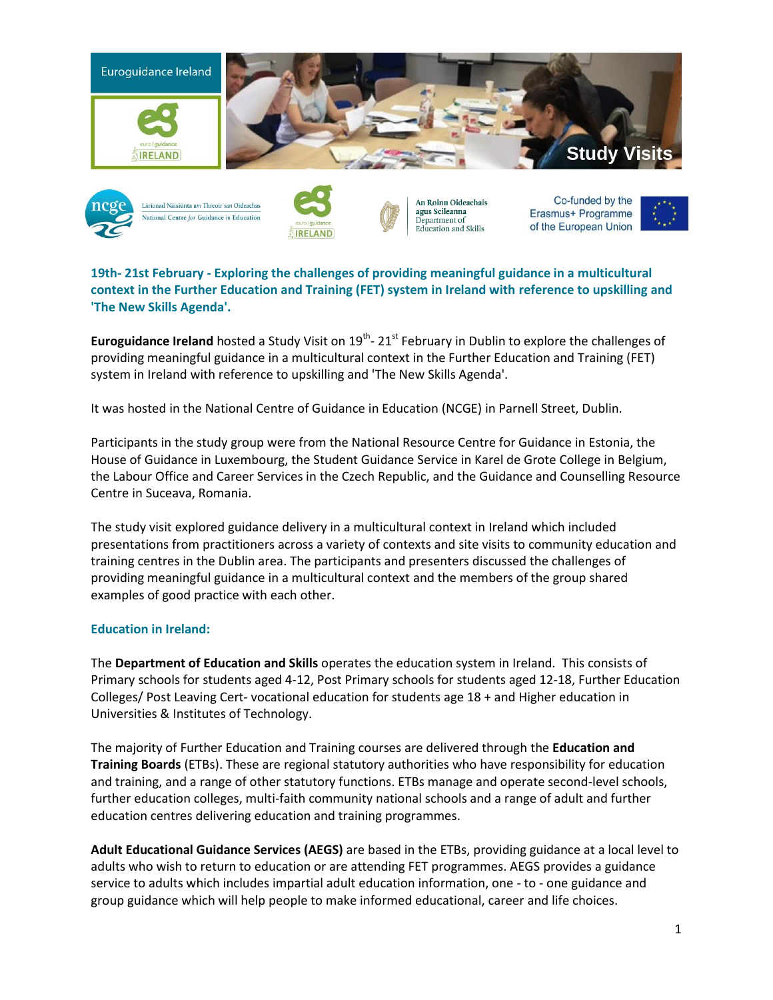



Lárionad Náisiúnta um Threoir san Oideachas National Centre for Guidance in Education



An Roinn Oideachais agus Scileanna Department of Education and Skills

Co-funded by the Erasmus+ Programme of the European Union



**19th- 21st February - Exploring the challenges of providing meaningful guidance in a multicultural context in the Further Education and Training (FET) system in Ireland with reference to upskilling and 'The New Skills Agenda'.**

Euroguidance Ireland hosted a Study Visit on 19<sup>th</sup>- 21<sup>st</sup> February in Dublin to explore the challenges of providing meaningful guidance in a multicultural context in the Further Education and Training (FET) system in Ireland with reference to upskilling and 'The New Skills Agenda'.

It was hosted in the National Centre of Guidance in Education (NCGE) in Parnell Street, Dublin.

Participants in the study group were from the National Resource Centre for Guidance in Estonia, the House of Guidance in Luxembourg, the Student Guidance Service in Karel de Grote College in Belgium, the Labour Office and Career Services in the Czech Republic, and the Guidance and Counselling Resource Centre in Suceava, Romania.

The study visit explored guidance delivery in a multicultural context in Ireland which included presentations from practitioners across a variety of contexts and site visits to community education and training centres in the Dublin area. The participants and presenters discussed the challenges of providing meaningful guidance in a multicultural context and the members of the group shared examples of good practice with each other.

## **Education in Ireland:**

The **Department of Education and Skills** operates the education system in Ireland. This consists of Primary schools for students aged 4-12, Post Primary schools for students aged 12-18, Further Education Colleges/ Post Leaving Cert- vocational education for students age 18 + and Higher education in Universities & Institutes of Technology.

The majority of Further Education and Training courses are delivered through the **Education and Training Boards** (ETBs). These are regional statutory authorities who have responsibility for education and training, and a range of other statutory functions. ETBs manage and operate second-level schools, further education colleges, multi-faith community national schools and a range of adult and further education centres delivering education and training programmes.

**Adult Educational Guidance Services (AEGS)** are based in the ETBs, providing guidance at a local level to adults who wish to return to education or are attending FET programmes. AEGS provides a guidance service to adults which includes impartial adult education information, one - to - one guidance and group guidance which will help people to make informed educational, career and life choices.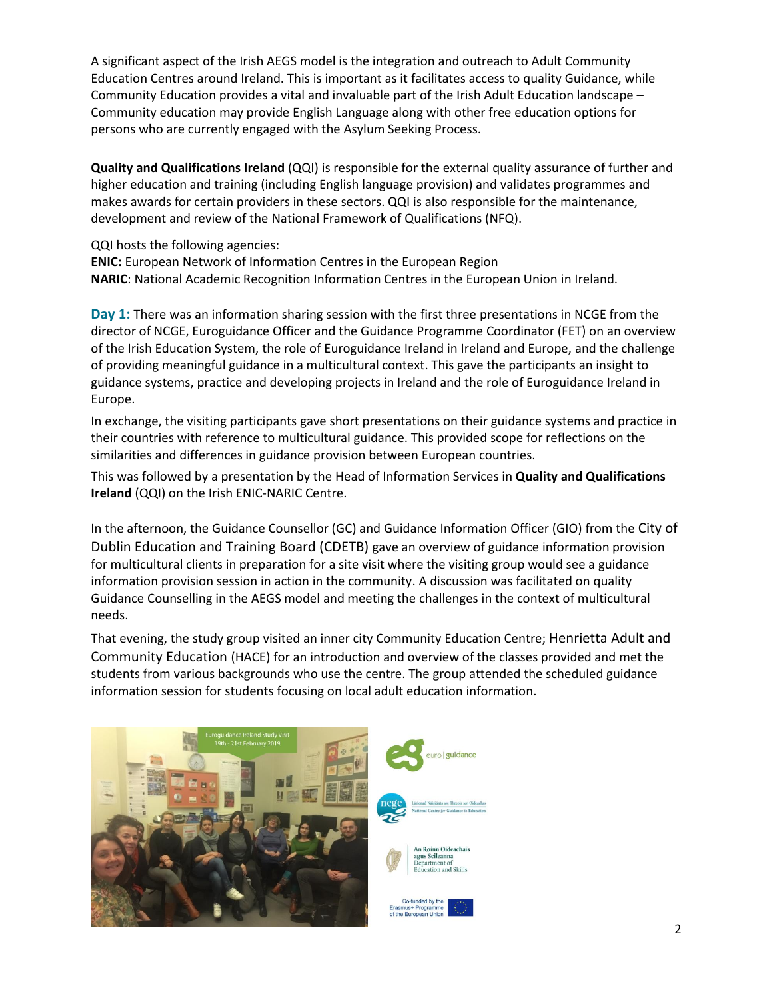A significant aspect of the Irish AEGS model is the integration and outreach to Adult Community Education Centres around Ireland. This is important as it facilitates access to quality Guidance, while Community Education provides a vital and invaluable part of the Irish Adult Education landscape – Community education may provide English Language along with other free education options for persons who are currently engaged with the Asylum Seeking Process.

**Quality and Qualifications Ireland** (QQI) is responsible for the external quality assurance of further and higher education and training (including English language provision) and validates programmes and makes awards for certain providers in these sectors. QQI is also responsible for the maintenance, development and review of the [National Framework of Qualifications \(NFQ\)](http://www.qqi.ie/Pages/National-Framework-of-Qualifications-(NFQ).aspx).

QQI hosts the following agencies:

**ENIC:** European Network of Information Centres in the European Region **NARIC**: National Academic Recognition Information Centres in the European Union in Ireland.

**Day 1:** There was an information sharing session with the first three presentations in NCGE from the director of NCGE, Euroguidance Officer and the Guidance Programme Coordinator (FET) on an overview of the Irish Education System, the role of Euroguidance Ireland in Ireland and Europe, and the challenge of providing meaningful guidance in a multicultural context. This gave the participants an insight to guidance systems, practice and developing projects in Ireland and the role of Euroguidance Ireland in Europe.

In exchange, the visiting participants gave short presentations on their guidance systems and practice in their countries with reference to multicultural guidance. This provided scope for reflections on the similarities and differences in guidance provision between European countries.

This was followed by a presentation by the Head of Information Services in **Quality and Qualifications Ireland** (QQI) on the Irish ENIC-NARIC Centre.

In the afternoon, the Guidance Counsellor (GC) and Guidance Information Officer (GIO) from the City of Dublin Education and Training Board (CDETB) gave an overview of guidance information provision for multicultural clients in preparation for a site visit where the visiting group would see a guidance information provision session in action in the community. A discussion was facilitated on quality Guidance Counselling in the AEGS model and meeting the challenges in the context of multicultural needs.

That evening, the study group visited an inner city Community Education Centre; Henrietta Adult and Community Education (HACE) for an introduction and overview of the classes provided and met the students from various backgrounds who use the centre. The group attended the scheduled guidance information session for students focusing on local adult education information.

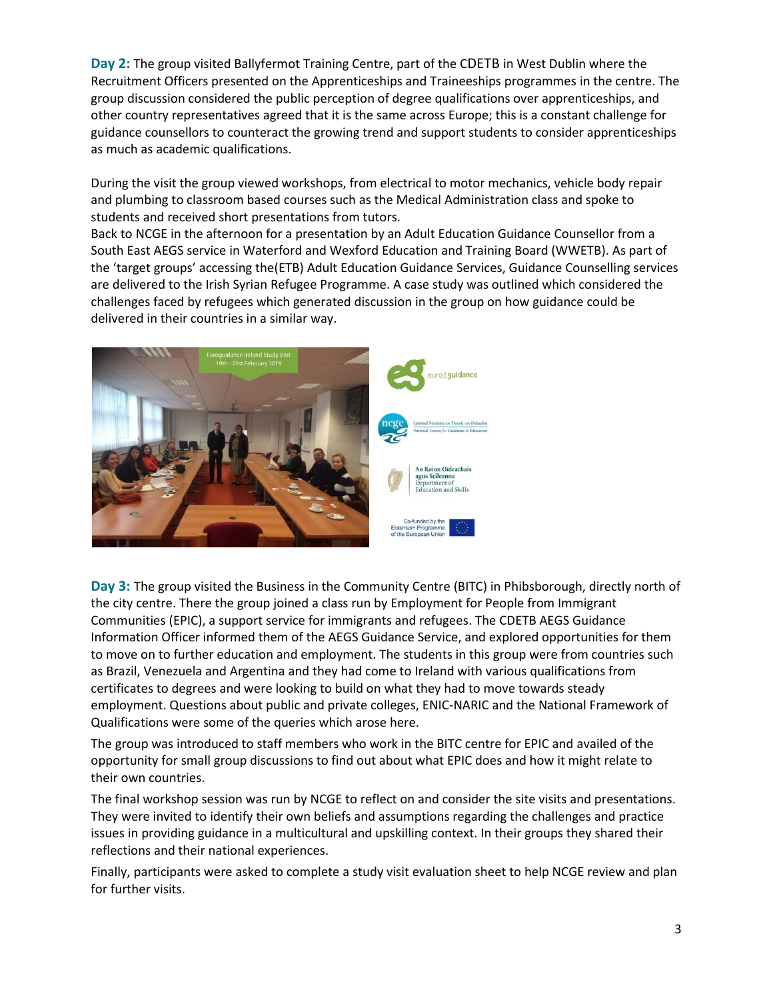**Day 2:** The group visited Ballyfermot Training Centre, part of the CDETB in West Dublin where the Recruitment Officers presented on the Apprenticeships and Traineeships programmes in the centre. The group discussion considered the public perception of degree qualifications over apprenticeships, and other country representatives agreed that it is the same across Europe; this is a constant challenge for guidance counsellors to counteract the growing trend and support students to consider apprenticeships as much as academic qualifications.

During the visit the group viewed workshops, from electrical to motor mechanics, vehicle body repair and plumbing to classroom based courses such as the Medical Administration class and spoke to students and received short presentations from tutors.

Back to NCGE in the afternoon for a presentation by an Adult Education Guidance Counsellor from a South East AEGS service in Waterford and Wexford Education and Training Board (WWETB). As part of the 'target groups' accessing the(ETB) Adult Education Guidance Services, Guidance Counselling services are delivered to the Irish Syrian Refugee Programme. A case study was outlined which considered the challenges faced by refugees which generated discussion in the group on how guidance could be delivered in their countries in a similar way.



**Day 3:** The group visited the Business in the Community Centre (BITC) in Phibsborough, directly north of the city centre. There the group joined a class run by Employment for People from Immigrant Communities (EPIC), a support service for immigrants and refugees. The CDETB AEGS Guidance Information Officer informed them of the AEGS Guidance Service, and explored opportunities for them to move on to further education and employment. The students in this group were from countries such as Brazil, Venezuela and Argentina and they had come to Ireland with various qualifications from certificates to degrees and were looking to build on what they had to move towards steady employment. Questions about public and private colleges, ENIC-NARIC and the National Framework of Qualifications were some of the queries which arose here.

The group was introduced to staff members who work in the BITC centre for EPIC and availed of the opportunity for small group discussions to find out about what EPIC does and how it might relate to their own countries.

The final workshop session was run by NCGE to reflect on and consider the site visits and presentations. They were invited to identify their own beliefs and assumptions regarding the challenges and practice issues in providing guidance in a multicultural and upskilling context. In their groups they shared their reflections and their national experiences.

Finally, participants were asked to complete a study visit evaluation sheet to help NCGE review and plan for further visits.